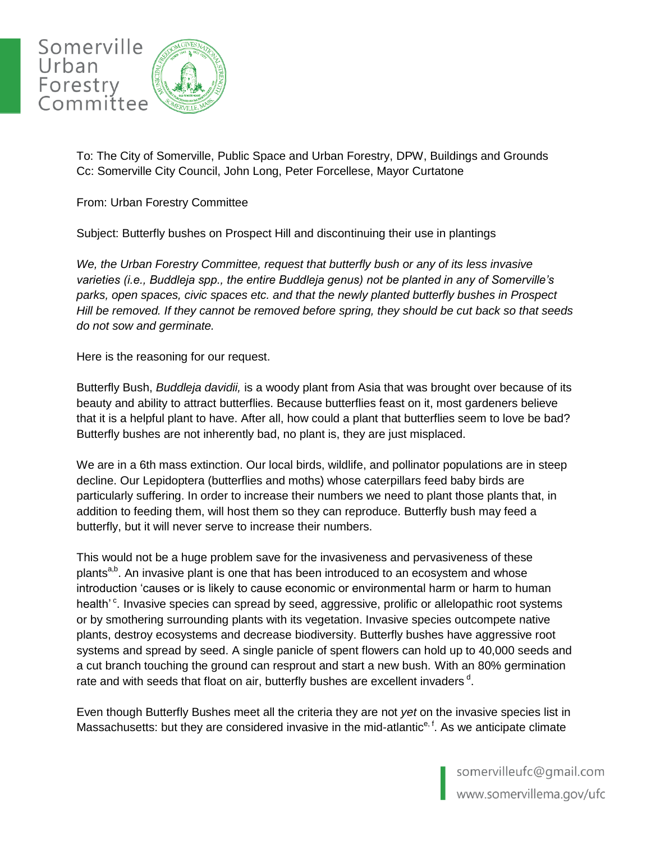

To: The City of Somerville, Public Space and Urban Forestry, DPW, Buildings and Grounds Cc: Somerville City Council, John Long, Peter Forcellese, Mayor Curtatone

From: Urban Forestry Committee

Subject: Butterfly bushes on Prospect Hill and discontinuing their use in plantings

*We, the Urban Forestry Committee, request that butterfly bush or any of its less invasive varieties (i.e., Buddleja spp., the entire Buddleja genus) not be planted in any of Somerville's parks, open spaces, civic spaces etc. and that the newly planted butterfly bushes in Prospect Hill be removed. If they cannot be removed before spring, they should be cut back so that seeds do not sow and germinate.*

Here is the reasoning for our request.

Butterfly Bush, *Buddleja davidii,* is a woody plant from Asia that was brought over because of its beauty and ability to attract butterflies. Because butterflies feast on it, most gardeners believe that it is a helpful plant to have. After all, how could a plant that butterflies seem to love be bad? Butterfly bushes are not inherently bad, no plant is, they are just misplaced.

We are in a 6th mass extinction. Our local birds, wildlife, and pollinator populations are in steep decline. Our Lepidoptera (butterflies and moths) whose caterpillars feed baby birds are particularly suffering. In order to increase their numbers we need to plant those plants that, in addition to feeding them, will host them so they can reproduce. Butterfly bush may feed a butterfly, but it will never serve to increase their numbers.

This would not be a huge problem save for the invasiveness and pervasiveness of these plants<sup>a,b</sup>. An invasive plant is one that has been introduced to an ecosystem and whose introduction 'causes or is likely to cause economic or environmental harm or harm to human health'<sup>c</sup>. Invasive species can spread by seed, aggressive, prolific or allelopathic root systems or by smothering surrounding plants with its vegetation. Invasive species outcompete native plants, destroy ecosystems and decrease biodiversity. Butterfly bushes have aggressive root systems and spread by seed. A single panicle of spent flowers can hold up to 40,000 seeds and a cut branch touching the ground can resprout and start a new bush. With an 80% germination rate and with seeds that float on air, butterfly bushes are excellent invaders  $d$ .

Even though Butterfly Bushes meet all the criteria they are not *yet* on the invasive species list in Massachusetts: but they are considered invasive in the mid-atlantic<sup>e, f</sup>. As we anticipate climate

> somervilleufc@gmail.com www.somervillema.gov/ufc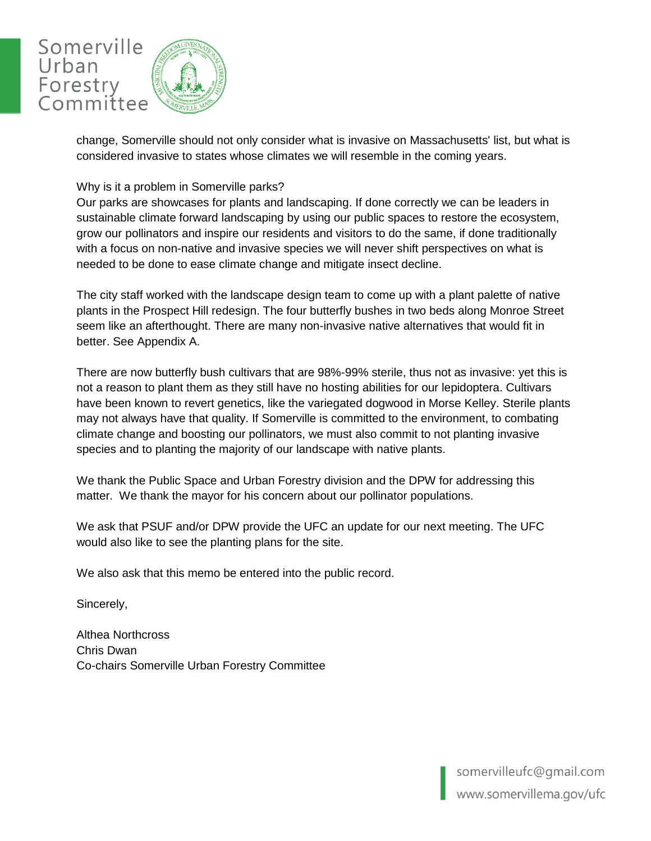

change, Somerville should not only consider what is invasive on Massachusetts' list, but what is considered invasive to states whose climates we will resemble in the coming years.

#### Why is it a problem in Somerville parks?

Our parks are showcases for plants and landscaping. If done correctly we can be leaders in sustainable climate forward landscaping by using our public spaces to restore the ecosystem, grow our pollinators and inspire our residents and visitors to do the same, if done traditionally with a focus on non-native and invasive species we will never shift perspectives on what is needed to be done to ease climate change and mitigate insect decline.

The city staff worked with the landscape design team to come up with a plant palette of native plants in the Prospect Hill redesign. The four butterfly bushes in two beds along Monroe Street seem like an afterthought. There are many non-invasive native alternatives that would fit in better. See Appendix A.

There are now butterfly bush cultivars that are 98%-99% sterile, thus not as invasive: yet this is not a reason to plant them as they still have no hosting abilities for our lepidoptera. Cultivars have been known to revert genetics, like the variegated dogwood in Morse Kelley. Sterile plants may not always have that quality. If Somerville is committed to the environment, to combating climate change and boosting our pollinators, we must also commit to not planting invasive species and to planting the majority of our landscape with native plants.

We thank the Public Space and Urban Forestry division and the DPW for addressing this matter. We thank the mayor for his concern about our pollinator populations.

We ask that PSUF and/or DPW provide the UFC an update for our next meeting. The UFC would also like to see the planting plans for the site.

We also ask that this memo be entered into the public record.

Sincerely,

Althea Northcross Chris Dwan Co-chairs Somerville Urban Forestry Committee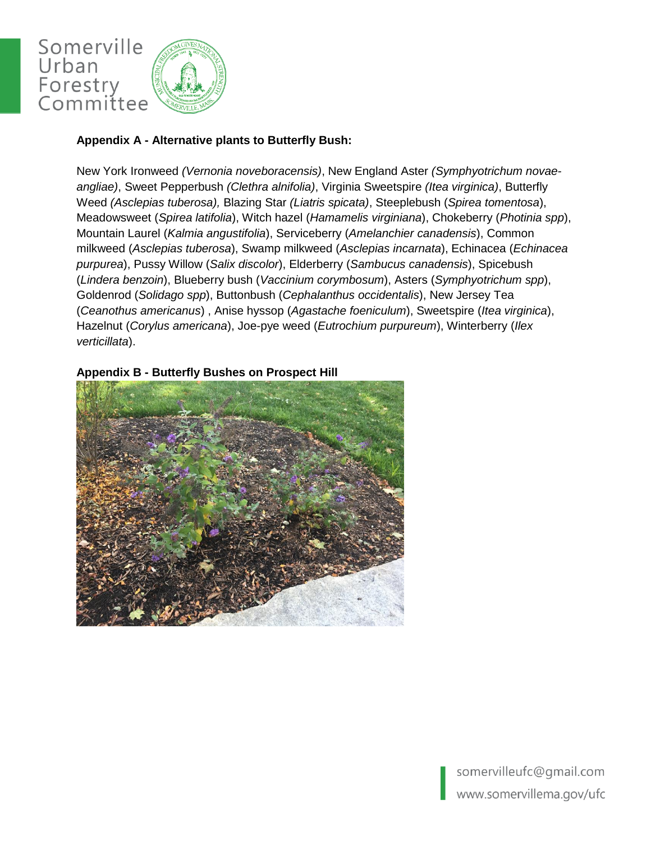

## **Appendix A - Alternative plants to Butterfly Bush:**

New York Ironweed *(Vernonia noveboracensis)*, New England Aster *(Symphyotrichum novaeangliae)*, Sweet Pepperbush *(Clethra alnifolia)*, Virginia Sweetspire *(Itea virginica)*, Butterfly Weed *(Asclepias tuberosa),* Blazing Star *(Liatris spicata)*, Steeplebush (*Spirea tomentosa*), Meadowsweet (*Spirea latifolia*), Witch hazel (*Hamamelis virginiana*), Chokeberry (*Photinia spp*), Mountain Laurel (*Kalmia angustifolia*), Serviceberry (*Amelanchier canadensis*), Common milkweed (*Asclepias tuberosa*), Swamp milkweed (*Asclepias incarnata*), Echinacea (*Echinacea purpurea*), Pussy Willow (*Salix discolor*), Elderberry (*Sambucus canadensis*), Spicebush (*Lindera benzoin*), Blueberry bush (*Vaccinium corymbosum*), Asters (*Symphyotrichum spp*), Goldenrod (*Solidago spp*), Buttonbush (*Cephalanthus occidentalis*), New Jersey Tea (*Ceanothus americanus*) , Anise hyssop (*Agastache foeniculum*), Sweetspire (*Itea virginica*), Hazelnut (*Corylus americana*), Joe-pye weed (*Eutrochium purpureum*), Winterberry (*Ilex verticillata*).

#### **Appendix B - Butterfly Bushes on Prospect Hill**